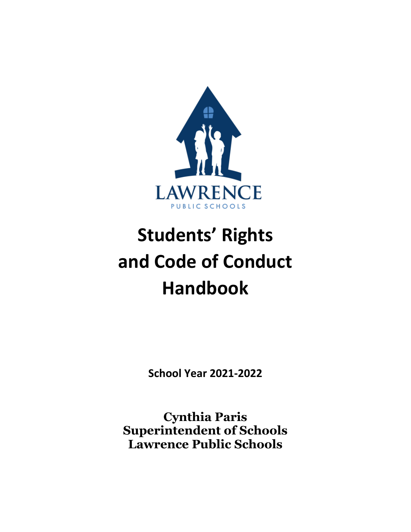

# **Students' Rights and Code of Conduct Handbook**

**School Year 2021-2022** 

**Cynthia Paris Superintendent of Schools Lawrence Public Schools**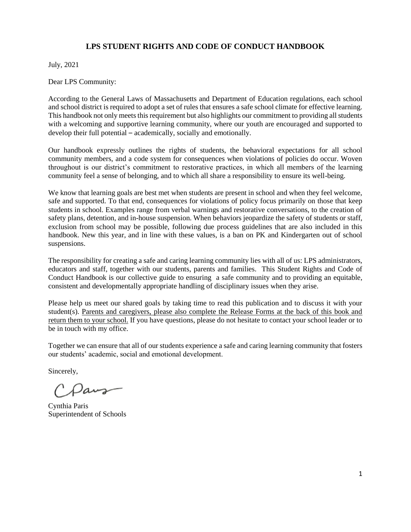# **LPS STUDENT RIGHTS AND CODE OF CONDUCT HANDBOOK**

July, 2021

Dear LPS Community:

According to the General Laws of Massachusetts and Department of Education regulations, each school and school district is required to adopt a set of rules that ensures a safe school climate for effective learning. This handbook not only meets this requirement but also highlights our commitment to providing all students with a welcoming and supportive learning community, where our youth are encouraged and supported to develop their full potential – academically, socially and emotionally.

Our handbook expressly outlines the rights of students, the behavioral expectations for all school community members, and a code system for consequences when violations of policies do occur. Woven throughout is our district's commitment to restorative practices, in which all members of the learning community feel a sense of belonging, and to which all share a responsibility to ensure its well-being.

We know that learning goals are best met when students are present in school and when they feel welcome, safe and supported. To that end, consequences for violations of policy focus primarily on those that keep students in school. Examples range from verbal warnings and restorative conversations, to the creation of safety plans, detention, and in-house suspension. When behaviors jeopardize the safety of students or staff, exclusion from school may be possible, following due process guidelines that are also included in this handbook. New this year, and in line with these values, is a ban on PK and Kindergarten out of school suspensions.

The responsibility for creating a safe and caring learning community lies with all of us: LPS administrators, educators and staff, together with our students, parents and families. This Student Rights and Code of Conduct Handbook is our collective guide to ensuring a safe community and to providing an equitable, consistent and developmentally appropriate handling of disciplinary issues when they arise.

Please help us meet our shared goals by taking time to read this publication and to discuss it with your student(s). Parents and caregivers, please also complete the Release Forms at the back of this book and return them to your school. If you have questions, please do not hesitate to contact your school leader or to be in touch with my office.

Together we can ensure that all of our students experience a safe and caring learning community that fosters our students' academic, social and emotional development.

Sincerely,

Paus

Cynthia Paris Superintendent of Schools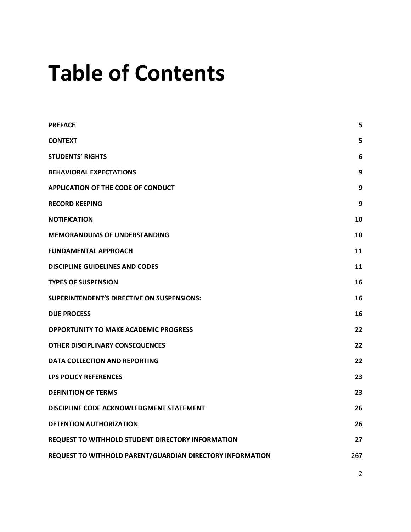# **Table of Contents**

| <b>PREFACE</b>                                            | 5   |
|-----------------------------------------------------------|-----|
| <b>CONTEXT</b>                                            | 5   |
| <b>STUDENTS' RIGHTS</b>                                   | 6   |
| <b>BEHAVIORAL EXPECTATIONS</b>                            | 9   |
| <b>APPLICATION OF THE CODE OF CONDUCT</b>                 | 9   |
| <b>RECORD KEEPING</b>                                     | 9   |
| <b>NOTIFICATION</b>                                       | 10  |
| <b>MEMORANDUMS OF UNDERSTANDING</b>                       | 10  |
| <b>FUNDAMENTAL APPROACH</b>                               | 11  |
| <b>DISCIPLINE GUIDELINES AND CODES</b>                    | 11  |
| <b>TYPES OF SUSPENSION</b>                                | 16  |
| <b>SUPERINTENDENT'S DIRECTIVE ON SUSPENSIONS:</b>         | 16  |
| <b>DUE PROCESS</b>                                        | 16  |
| <b>OPPORTUNITY TO MAKE ACADEMIC PROGRESS</b>              | 22  |
| <b>OTHER DISCIPLINARY CONSEQUENCES</b>                    | 22  |
| <b>DATA COLLECTION AND REPORTING</b>                      | 22  |
| <b>LPS POLICY REFERENCES</b>                              | 23  |
| <b>DEFINITION OF TERMS</b>                                | 23  |
| DISCIPLINE CODE ACKNOWLEDGMENT STATEMENT                  | 26  |
| <b>DETENTION AUTHORIZATION</b>                            | 26  |
| REQUEST TO WITHHOLD STUDENT DIRECTORY INFORMATION         | 27  |
| REQUEST TO WITHHOLD PARENT/GUARDIAN DIRECTORY INFORMATION | 267 |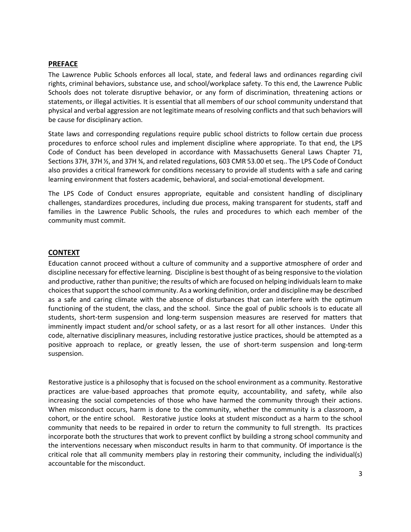#### <span id="page-3-0"></span>**PREFACE**

The Lawrence Public Schools enforces all local, state, and federal laws and ordinances regarding civil rights, criminal behaviors, substance use, and school/workplace safety. To this end, the Lawrence Public Schools does not tolerate disruptive behavior, or any form of discrimination, threatening actions or statements, or illegal activities. It is essential that all members of our school community understand that physical and verbal aggression are not legitimate means of resolving conflicts and that such behaviors will be cause for disciplinary action.

State laws and corresponding regulations require public school districts to follow certain due process procedures to enforce school rules and implement discipline where appropriate. To that end, the LPS Code of Conduct has been developed in accordance with Massachusetts General Laws Chapter 71, Sections 37H, 37H ½, and 37H ¾, and related regulations, 603 CMR 53.00 et seq.. The LPS Code of Conduct also provides a critical framework for conditions necessary to provide all students with a safe and caring learning environment that fosters academic, behavioral, and social-emotional development.

The LPS Code of Conduct ensures appropriate, equitable and consistent handling of disciplinary challenges, standardizes procedures, including due process, making transparent for students, staff and families in the Lawrence Public Schools, the rules and procedures to which each member of the community must commit.

#### <span id="page-3-1"></span>**CONTEXT**

Education cannot proceed without a culture of community and a supportive atmosphere of order and discipline necessary for effective learning. Discipline is best thought of as being responsive to the violation and productive, rather than punitive; the results of which are focused on helping individuals learn to make choices that support the school community. As a working definition, order and discipline may be described as a safe and caring climate with the absence of disturbances that can interfere with the optimum functioning of the student, the class, and the school. Since the goal of public schools is to educate all students, short-term suspension and long-term suspension measures are reserved for matters that imminently impact student and/or school safety, or as a last resort for all other instances. Under this code, alternative disciplinary measures, including restorative justice practices, should be attempted as a positive approach to replace, or greatly lessen, the use of short-term suspension and long-term suspension.

Restorative justice is a philosophy that is focused on the school environment as a community. Restorative practices are value-based approaches that promote equity, accountability, and safety, while also increasing the social competencies of those who have harmed the community through their actions. When misconduct occurs, harm is done to the community, whether the community is a classroom, a cohort, or the entire school. Restorative justice looks at student misconduct as a harm to the school community that needs to be repaired in order to return the community to full strength. Its practices incorporate both the structures that work to prevent conflict by building a strong school community and the interventions necessary when misconduct results in harm to that community. Of importance is the critical role that all community members play in restoring their community, including the individual(s) accountable for the misconduct.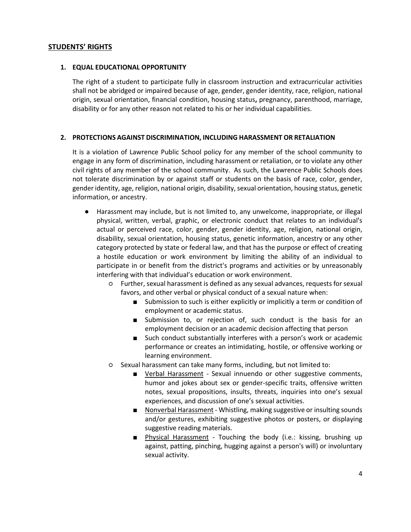# <span id="page-4-0"></span>**STUDENTS' RIGHTS**

#### **1. EQUAL EDUCATIONAL OPPORTUNITY**

The right of a student to participate fully in classroom instruction and extracurricular activities shall not be abridged or impaired because of age, gender, gender identity, race, religion, national origin, sexual orientation, financial condition, housing status**,** pregnancy, parenthood, marriage, disability or for any other reason not related to his or her individual capabilities.

#### **2. PROTECTIONS AGAINST DISCRIMINATION, INCLUDING HARASSMENT OR RETALIATION**

It is a violation of Lawrence Public School policy for any member of the school community to engage in any form of discrimination, including harassment or retaliation, or to violate any other civil rights of any member of the school community. As such, the Lawrence Public Schools does not tolerate discrimination by or against staff or students on the basis of race, color, gender, gender identity, age, religion, national origin, disability, sexual orientation, housing status, genetic information, or ancestry.

- Harassment may include, but is not limited to, any unwelcome, inappropriate, or illegal physical, written, verbal, graphic, or electronic conduct that relates to an individual's actual or perceived race, color, gender, gender identity, age, religion, national origin, disability, sexual orientation, housing status, genetic information, ancestry or any other category protected by state or federal law, and that has the purpose or effect of creating a hostile education or work environment by limiting the ability of an individual to participate in or benefit from the district's programs and activities or by unreasonably interfering with that individual's education or work environment.
	- Further, sexual harassment is defined as any sexual advances, requests for sexual favors, and other verbal or physical conduct of a sexual nature when:
		- Submission to such is either explicitly or implicitly a term or condition of employment or academic status.
		- Submission to, or rejection of, such conduct is the basis for an employment decision or an academic decision affecting that person
		- Such conduct substantially interferes with a person's work or academic performance or creates an intimidating, hostile, or offensive working or learning environment.
	- Sexual harassment can take many forms, including, but not limited to:
		- Verbal Harassment Sexual innuendo or other suggestive comments, humor and jokes about sex or gender-specific traits, offensive written notes, sexual propositions, insults, threats, inquiries into one's sexual experiences, and discussion of one's sexual activities.
		- Nonverbal Harassment Whistling, making suggestive or insulting sounds and/or gestures, exhibiting suggestive photos or posters, or displaying suggestive reading materials.
		- Physical Harassment Touching the body (i.e.: kissing, brushing up against, patting, pinching, hugging against a person's will) or involuntary sexual activity.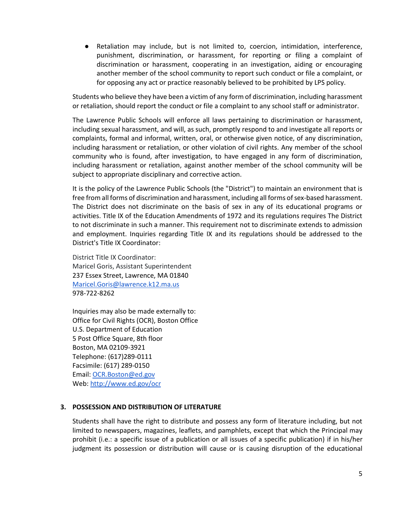● Retaliation may include, but is not limited to, coercion, intimidation, interference, punishment, discrimination, or harassment, for reporting or filing a complaint of discrimination or harassment, cooperating in an investigation, aiding or encouraging another member of the school community to report such conduct or file a complaint, or for opposing any act or practice reasonably believed to be prohibited by LPS policy.

Students who believe they have been a victim of any form of discrimination, including harassment or retaliation, should report the conduct or file a complaint to any school staff or administrator.

The Lawrence Public Schools will enforce all laws pertaining to discrimination or harassment, including sexual harassment, and will, as such, promptly respond to and investigate all reports or complaints, formal and informal, written, oral, or otherwise given notice, of any discrimination, including harassment or retaliation, or other violation of civil rights. Any member of the school community who is found, after investigation, to have engaged in any form of discrimination, including harassment or retaliation, against another member of the school community will be subject to appropriate disciplinary and corrective action.

It is the policy of the Lawrence Public Schools (the "District") to maintain an environment that is free from all forms of discrimination and harassment, including all forms of sex-based harassment. The District does not discriminate on the basis of sex in any of its educational programs or activities. Title IX of the Education Amendments of 1972 and its regulations requires The District to not discriminate in such a manner. This requirement not to discriminate extends to admission and employment. Inquiries regarding Title IX and its regulations should be addressed to the District's Title IX Coordinator:

District Title IX Coordinator: Maricel Goris, Assistant Superintendent 237 Essex Street, Lawrence, MA 01840 [Maricel.Goris@lawrence.k12.ma.us](mailto:Maricel.Goris@lawrence.k12.ma.us) 978-722-8262

Inquiries may also be made externally to: Office for Civil Rights (OCR), Boston Office U.S. Department of Education 5 Post Office Square, 8th floor Boston, MA 02109-3921 Telephone: (617)289-0111 Facsimile: (617) 289-0150 Email: [OCR.Boston@ed.gov](mailto:OCR.Boston@ed.gov) Web[: http://www.ed.gov/ocr](http://www.ed.gov/ocr)

#### **3. POSSESSION AND DISTRIBUTION OF LITERATURE**

Students shall have the right to distribute and possess any form of literature including, but not limited to newspapers, magazines, leaflets, and pamphlets, except that which the Principal may prohibit (i.e.: a specific issue of a publication or all issues of a specific publication) if in his/her judgment its possession or distribution will cause or is causing disruption of the educational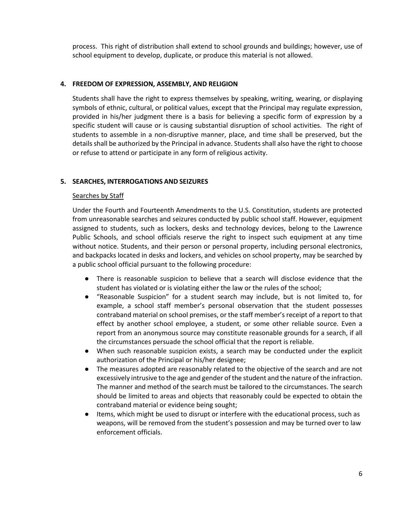process. This right of distribution shall extend to school grounds and buildings; however, use of school equipment to develop, duplicate, or produce this material is not allowed.

#### **4. FREEDOM OF EXPRESSION, ASSEMBLY, AND RELIGION**

Students shall have the right to express themselves by speaking, writing, wearing, or displaying symbols of ethnic, cultural, or political values, except that the Principal may regulate expression, provided in his/her judgment there is a basis for believing a specific form of expression by a specific student will cause or is causing substantial disruption of school activities. The right of students to assemble in a non-disruptive manner, place, and time shall be preserved, but the details shall be authorized by the Principal in advance. Students shall also have the right to choose or refuse to attend or participate in any form of religious activity.

#### **5. SEARCHES, INTERROGATIONS AND SEIZURES**

#### Searches by Staff

Under the Fourth and Fourteenth Amendments to the U.S. Constitution, students are protected from unreasonable searches and seizures conducted by public school staff. However, equipment assigned to students, such as lockers, desks and technology devices, belong to the Lawrence Public Schools, and school officials reserve the right to inspect such equipment at any time without notice. Students, and their person or personal property, including personal electronics, and backpacks located in desks and lockers, and vehicles on school property, may be searched by a public school official pursuant to the following procedure:

- There is reasonable suspicion to believe that a search will disclose evidence that the student has violated or is violating either the law or the rules of the school;
- "Reasonable Suspicion" for a student search may include, but is not limited to, for example, a school staff member's personal observation that the student possesses contraband material on school premises, or the staff member's receipt of a report to that effect by another school employee, a student, or some other reliable source. Even a report from an anonymous source may constitute reasonable grounds for a search, if all the circumstances persuade the school official that the report is reliable.
- When such reasonable suspicion exists, a search may be conducted under the explicit authorization of the Principal or his/her designee;
- The measures adopted are reasonably related to the objective of the search and are not excessively intrusive to the age and gender of the student and the nature of the infraction. The manner and method of the search must be tailored to the circumstances. The search should be limited to areas and objects that reasonably could be expected to obtain the contraband material or evidence being sought;
- Items, which might be used to disrupt or interfere with the educational process, such as weapons, will be removed from the student's possession and may be turned over to law enforcement officials.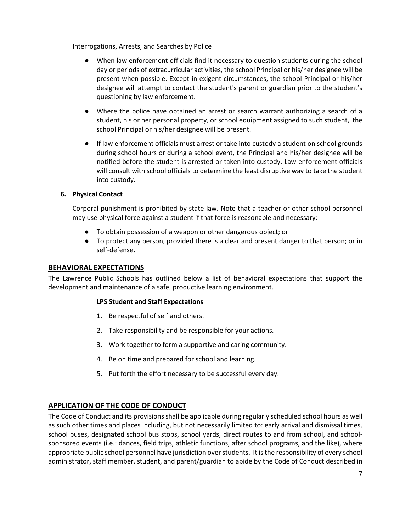#### Interrogations, Arrests, and Searches by Police

- When law enforcement officials find it necessary to question students during the school day or periods of extracurricular activities, the school Principal or his/her designee will be present when possible. Except in exigent circumstances, the school Principal or his/her designee will attempt to contact the student's parent or guardian prior to the student's questioning by law enforcement.
- Where the police have obtained an arrest or search warrant authorizing a search of a student, his or her personal property, or school equipment assigned to such student, the school Principal or his/her designee will be present.
- If law enforcement officials must arrest or take into custody a student on school grounds during school hours or during a school event, the Principal and his/her designee will be notified before the student is arrested or taken into custody. Law enforcement officials will consult with school officials to determine the least disruptive way to take the student into custody.

#### **6. Physical Contact**

Corporal punishment is prohibited by state law. Note that a teacher or other school personnel may use physical force against a student if that force is reasonable and necessary:

- To obtain possession of a weapon or other dangerous object; or
- To protect any person, provided there is a clear and present danger to that person; or in self-defense.

#### <span id="page-7-0"></span>**BEHAVIORAL EXPECTATIONS**

The Lawrence Public Schools has outlined below a list of behavioral expectations that support the development and maintenance of a safe, productive learning environment.

#### **LPS Student and Staff Expectations**

- 1. Be respectful of self and others.
- 2. Take responsibility and be responsible for your actions.
- 3. Work together to form a supportive and caring community.
- 4. Be on time and prepared for school and learning.
- 5. Put forth the effort necessary to be successful every day.

# <span id="page-7-1"></span>**APPLICATION OF THE CODE OF CONDUCT**

The Code of Conduct and its provisions shall be applicable during regularly scheduled school hours as well as such other times and places including, but not necessarily limited to: early arrival and dismissal times, school buses, designated school bus stops, school yards, direct routes to and from school, and schoolsponsored events (i.e.: dances, field trips, athletic functions, after school programs, and the like), where appropriate public school personnel have jurisdiction over students. It is the responsibility of every school administrator, staff member, student, and parent/guardian to abide by the Code of Conduct described in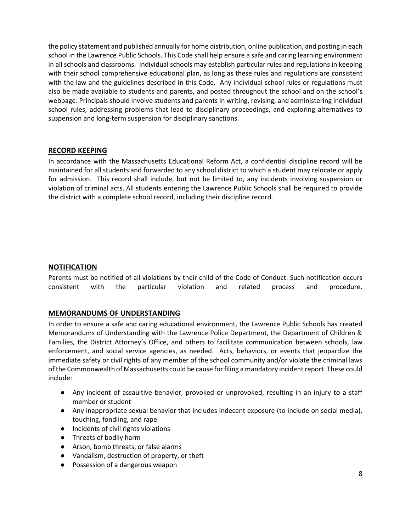the policy statement and published annually for home distribution, online publication, and posting in each school in the Lawrence Public Schools. This Code shall help ensure a safe and caring learning environment in all schools and classrooms. Individual schools may establish particular rules and regulations in keeping with their school comprehensive educational plan, as long as these rules and regulations are consistent with the law and the guidelines described in this Code. Any individual school rules or regulations must also be made available to students and parents, and posted throughout the school and on the school's webpage. Principals should involve students and parents in writing, revising, and administering individual school rules, addressing problems that lead to disciplinary proceedings, and exploring alternatives to suspension and long-term suspension for disciplinary sanctions.

#### <span id="page-8-0"></span>**RECORD KEEPING**

In accordance with the Massachusetts Educational Reform Act, a confidential discipline record will be maintained for all students and forwarded to any school district to which a student may relocate or apply for admission. This record shall include, but not be limited to, any incidents involving suspension or violation of criminal acts. All students entering the Lawrence Public Schools shall be required to provide the district with a complete school record, including their discipline record.

#### <span id="page-8-1"></span>**NOTIFICATION**

Parents must be notified of all violations by their child of the Code of Conduct. Such notification occurs consistent with the particular violation and related process and procedure.

# <span id="page-8-2"></span>**MEMORANDUMS OF UNDERSTANDING**

In order to ensure a safe and caring educational environment, the Lawrence Public Schools has created Memorandums of Understanding with the Lawrence Police Department, the Department of Children & Families, the District Attorney's Office, and others to facilitate communication between schools, law enforcement, and social service agencies, as needed. Acts, behaviors, or events that jeopardize the immediate safety or civil rights of any member of the school community and/or violate the criminal laws of the Commonwealth of Massachusetts could be cause for filing a mandatory incident report. These could include:

- Any incident of assaultive behavior, provoked or unprovoked, resulting in an injury to a staff member or student
- Any inappropriate sexual behavior that includes indecent exposure (to include on social media), touching, fondling, and rape
- Incidents of civil rights violations
- Threats of bodily harm
- Arson, bomb threats, or false alarms
- Vandalism, destruction of property, or theft
- Possession of a dangerous weapon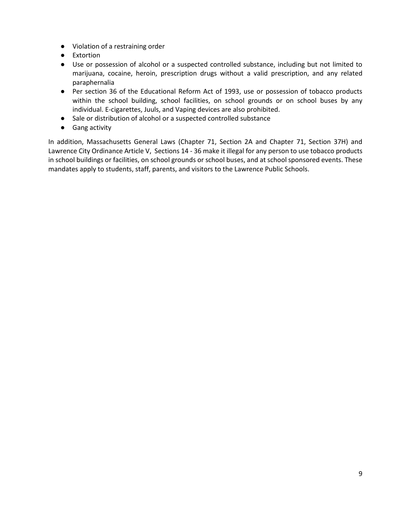- Violation of a restraining order
- Extortion
- Use or possession of alcohol or a suspected controlled substance, including but not limited to marijuana, cocaine, heroin, prescription drugs without a valid prescription, and any related paraphernalia
- Per section 36 of the Educational Reform Act of 1993, use or possession of tobacco products within the school building, school facilities, on school grounds or on school buses by any individual. E-cigarettes, Juuls, and Vaping devices are also prohibited.
- Sale or distribution of alcohol or a suspected controlled substance
- Gang activity

In addition, Massachusetts General Laws (Chapter 71, Section 2A and Chapter 71, Section 37H) and Lawrence City Ordinance Article V, Sections 14 - 36 make it illegal for any person to use tobacco products in school buildings or facilities, on school grounds or school buses, and at school sponsored events. These mandates apply to students, staff, parents, and visitors to the Lawrence Public Schools.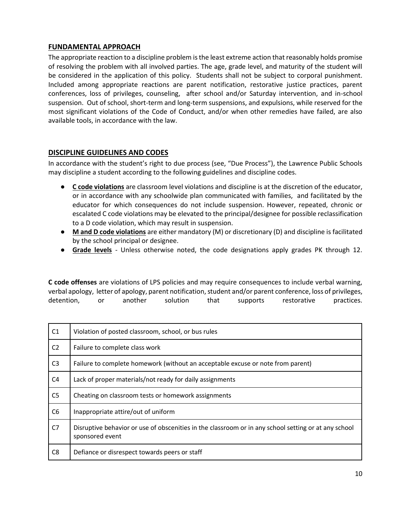# <span id="page-10-0"></span>**FUNDAMENTAL APPROACH**

The appropriate reaction to a discipline problem is the least extreme action that reasonably holds promise of resolving the problem with all involved parties. The age, grade level, and maturity of the student will be considered in the application of this policy. Students shall not be subject to corporal punishment. Included among appropriate reactions are parent notification, restorative justice practices, parent conferences, loss of privileges, counseling, after school and/or Saturday intervention, and in-school suspension. Out of school, short-term and long-term suspensions, and expulsions, while reserved for the most significant violations of the Code of Conduct, and/or when other remedies have failed, are also available tools, in accordance with the law.

# <span id="page-10-1"></span>**DISCIPLINE GUIDELINES AND CODES**

In accordance with the student's right to due process (see, "Due Process"), the Lawrence Public Schools may discipline a student according to the following guidelines and discipline codes.

- **C code violations** are classroom level violations and discipline is at the discretion of the educator, or in accordance with any schoolwide plan communicated with families, and facilitated by the educator for which consequences do not include suspension. However, repeated, chronic or escalated C code violations may be elevated to the principal/designee for possible reclassification to a D code violation, which may result in suspension.
- **M and D code violations** are either mandatory (M) or discretionary (D) and discipline is facilitated by the school principal or designee.
- **Grade levels** Unless otherwise noted, the code designations apply grades PK through 12.

**C code offenses** are violations of LPS policies and may require consequences to include verbal warning, verbal apology, letter of apology, parent notification, student and/or parent conference, loss of privileges, detention, or another solution that supports restorative practices.

| C1             | Violation of posted classroom, school, or bus rules                                                                     |
|----------------|-------------------------------------------------------------------------------------------------------------------------|
| C <sub>2</sub> | Failure to complete class work                                                                                          |
| C <sub>3</sub> | Failure to complete homework (without an acceptable excuse or note from parent)                                         |
| C <sub>4</sub> | Lack of proper materials/not ready for daily assignments                                                                |
| C <sub>5</sub> | Cheating on classroom tests or homework assignments                                                                     |
| C <sub>6</sub> | Inappropriate attire/out of uniform                                                                                     |
| C7             | Disruptive behavior or use of obscenities in the classroom or in any school setting or at any school<br>sponsored event |
| C8             | Defiance or disrespect towards peers or staff                                                                           |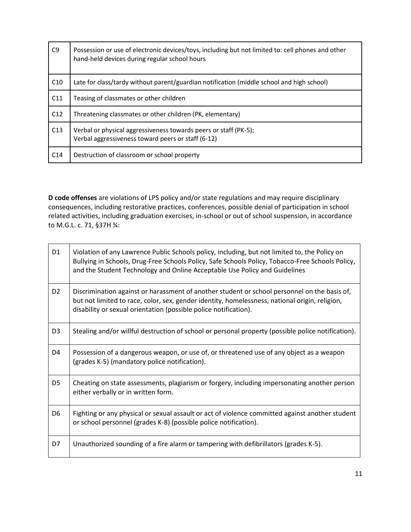| C <sub>9</sub>  | Possession or use of electronic devices/toys, including but not limited to: cell phones and other<br>hand-held devices during regular school hours |
|-----------------|----------------------------------------------------------------------------------------------------------------------------------------------------|
| C10             | Late for class/tardy without parent/guardian notification (middle school and high school)                                                          |
| C11             | Teasing of classmates or other children                                                                                                            |
| C12             | Threatening classmates or other children (PK, elementary)                                                                                          |
| C13             | Verbal or physical aggressiveness towards peers or staff (PK-5);<br>Verbal aggressiveness toward peers or staff (6-12)                             |
| C <sub>14</sub> | Destruction of classroom or school property                                                                                                        |

**D code offenses** are violations of LPS policy and/or state regulations and may require disciplinary consequences, including restorative practices, conferences, possible denial of participation in school related activities, including graduation exercises, in-school or out of school suspension, in accordance to M.G.L. c. 71, §37H ¾:

| D <sub>1</sub> | Violation of any Lawrence Public Schools policy, including, but not limited to, the Policy on<br>Bullying in Schools, Drug-Free Schools Policy, Safe Schools Policy, Tobacco-Free Schools Policy,<br>and the Student Technology and Online Acceptable Use Policy and Guidelines |
|----------------|---------------------------------------------------------------------------------------------------------------------------------------------------------------------------------------------------------------------------------------------------------------------------------|
| D <sub>2</sub> | Discrimination against or harassment of another student or school personnel on the basis of,<br>but not limited to race, color, sex, gender identity, homelessness, national origin, religion,<br>disability or sexual orientation (possible police notification).              |
| D <sub>3</sub> | Stealing and/or willful destruction of school or personal property (possible police notification).                                                                                                                                                                              |
| D4             | Possession of a dangerous weapon, or use of, or threatened use of any object as a weapon<br>(grades K-5) (mandatory police notification).                                                                                                                                       |
| D <sub>5</sub> | Cheating on state assessments, plagiarism or forgery, including impersonating another person<br>either verbally or in written form.                                                                                                                                             |
| D <sub>6</sub> | Fighting or any physical or sexual assault or act of violence committed against another student<br>or school personnel (grades K-8) (possible police notification).                                                                                                             |
| D7             | Unauthorized sounding of a fire alarm or tampering with defibrillators (grades K-5).                                                                                                                                                                                            |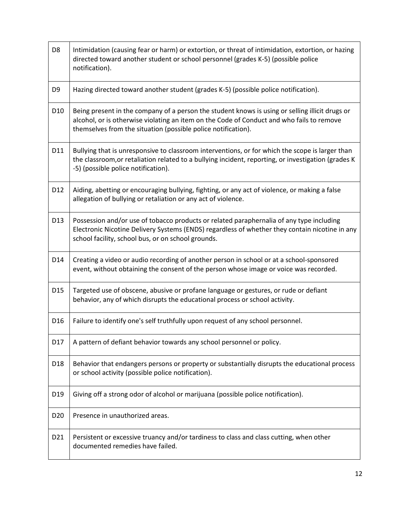| D <sub>8</sub>  | Intimidation (causing fear or harm) or extortion, or threat of intimidation, extortion, or hazing<br>directed toward another student or school personnel (grades K-5) (possible police<br>notification).                                                      |
|-----------------|---------------------------------------------------------------------------------------------------------------------------------------------------------------------------------------------------------------------------------------------------------------|
| D9              | Hazing directed toward another student (grades K-5) (possible police notification).                                                                                                                                                                           |
| D <sub>10</sub> | Being present in the company of a person the student knows is using or selling illicit drugs or<br>alcohol, or is otherwise violating an item on the Code of Conduct and who fails to remove<br>themselves from the situation (possible police notification). |
| D11             | Bullying that is unresponsive to classroom interventions, or for which the scope is larger than<br>the classroom, or retaliation related to a bullying incident, reporting, or investigation (grades K<br>-5) (possible police notification).                 |
| D12             | Aiding, abetting or encouraging bullying, fighting, or any act of violence, or making a false<br>allegation of bullying or retaliation or any act of violence.                                                                                                |
| D <sub>13</sub> | Possession and/or use of tobacco products or related paraphernalia of any type including<br>Electronic Nicotine Delivery Systems (ENDS) regardless of whether they contain nicotine in any<br>school facility, school bus, or on school grounds.              |
| D14             | Creating a video or audio recording of another person in school or at a school-sponsored<br>event, without obtaining the consent of the person whose image or voice was recorded.                                                                             |
| D <sub>15</sub> | Targeted use of obscene, abusive or profane language or gestures, or rude or defiant<br>behavior, any of which disrupts the educational process or school activity.                                                                                           |
| D <sub>16</sub> | Failure to identify one's self truthfully upon request of any school personnel.                                                                                                                                                                               |
| D17             | A pattern of defiant behavior towards any school personnel or policy.                                                                                                                                                                                         |
| D18             | Behavior that endangers persons or property or substantially disrupts the educational process<br>or school activity (possible police notification).                                                                                                           |
| D <sub>19</sub> | Giving off a strong odor of alcohol or marijuana (possible police notification).                                                                                                                                                                              |
| D <sub>20</sub> | Presence in unauthorized areas.                                                                                                                                                                                                                               |
| D21             | Persistent or excessive truancy and/or tardiness to class and class cutting, when other<br>documented remedies have failed.                                                                                                                                   |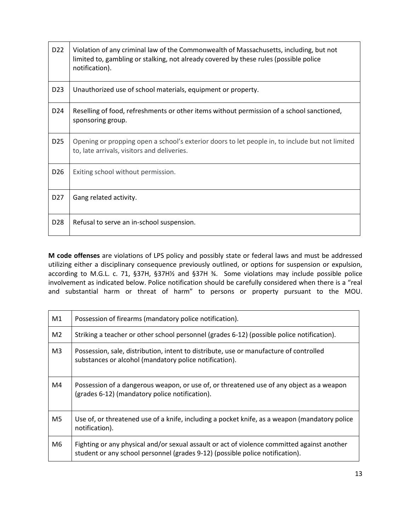| D <sub>22</sub> | Violation of any criminal law of the Commonwealth of Massachusetts, including, but not<br>limited to, gambling or stalking, not already covered by these rules (possible police<br>notification). |
|-----------------|---------------------------------------------------------------------------------------------------------------------------------------------------------------------------------------------------|
| D <sub>23</sub> | Unauthorized use of school materials, equipment or property.                                                                                                                                      |
| D <sub>24</sub> | Reselling of food, refreshments or other items without permission of a school sanctioned,<br>sponsoring group.                                                                                    |
| D <sub>25</sub> | Opening or propping open a school's exterior doors to let people in, to include but not limited<br>to, late arrivals, visitors and deliveries.                                                    |
| D <sub>26</sub> | Exiting school without permission.                                                                                                                                                                |
| D <sub>27</sub> | Gang related activity.                                                                                                                                                                            |
| D <sub>28</sub> | Refusal to serve an in-school suspension.                                                                                                                                                         |

**M code offenses** are violations of LPS policy and possibly state or federal laws and must be addressed utilizing either a disciplinary consequence previously outlined, or options for suspension or expulsion, according to M.G.L. c. 71, §37H, §37H½ and §37H ¾. Some violations may include possible police involvement as indicated below. Police notification should be carefully considered when there is a "real and substantial harm or threat of harm" to persons or property pursuant to the MOU.

| M1             | Possession of firearms (mandatory police notification).                                                                                                                      |
|----------------|------------------------------------------------------------------------------------------------------------------------------------------------------------------------------|
| M <sub>2</sub> | Striking a teacher or other school personnel (grades 6-12) (possible police notification).                                                                                   |
| M <sub>3</sub> | Possession, sale, distribution, intent to distribute, use or manufacture of controlled<br>substances or alcohol (mandatory police notification).                             |
| M4             | Possession of a dangerous weapon, or use of, or threatened use of any object as a weapon<br>(grades 6-12) (mandatory police notification).                                   |
| M5             | Use of, or threatened use of a knife, including a pocket knife, as a weapon (mandatory police<br>notification).                                                              |
| M6             | Fighting or any physical and/or sexual assault or act of violence committed against another<br>student or any school personnel (grades 9-12) (possible police notification). |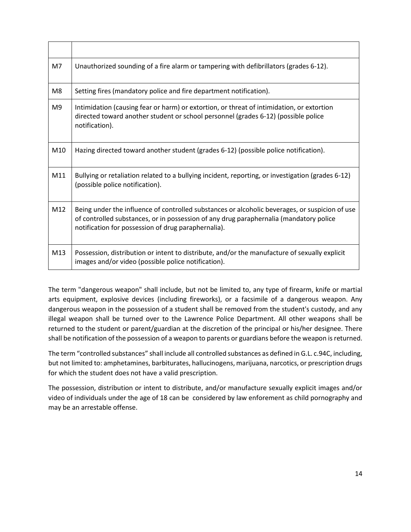| M7              | Unauthorized sounding of a fire alarm or tampering with defibrillators (grades 6-12).                                                                                                                                                           |
|-----------------|-------------------------------------------------------------------------------------------------------------------------------------------------------------------------------------------------------------------------------------------------|
| M8              | Setting fires (mandatory police and fire department notification).                                                                                                                                                                              |
| M <sub>9</sub>  | Intimidation (causing fear or harm) or extortion, or threat of intimidation, or extortion<br>directed toward another student or school personnel (grades 6-12) (possible police<br>notification).                                               |
| M <sub>10</sub> | Hazing directed toward another student (grades 6-12) (possible police notification).                                                                                                                                                            |
| M11             | Bullying or retaliation related to a bullying incident, reporting, or investigation (grades 6-12)<br>(possible police notification).                                                                                                            |
| M12             | Being under the influence of controlled substances or alcoholic beverages, or suspicion of use<br>of controlled substances, or in possession of any drug paraphernalia (mandatory police<br>notification for possession of drug paraphernalia). |
| M13             | Possession, distribution or intent to distribute, and/or the manufacture of sexually explicit<br>images and/or video (possible police notification).                                                                                            |

The term "dangerous weapon" shall include, but not be limited to, any type of firearm, knife or martial arts equipment, explosive devices (including fireworks), or a facsimile of a dangerous weapon. Any dangerous weapon in the possession of a student shall be removed from the student's custody, and any illegal weapon shall be turned over to the Lawrence Police Department. All other weapons shall be returned to the student or parent/guardian at the discretion of the principal or his/her designee. There shall be notification of the possession of a weapon to parents or guardians before the weapon is returned.

The term "controlled substances" shall include all controlled substances as defined in G.L. c.94C, including, but not limited to: amphetamines, barbiturates, hallucinogens, marijuana, narcotics, or prescription drugs for which the student does not have a valid prescription.

The possession, distribution or intent to distribute, and/or manufacture sexually explicit images and/or video of individuals under the age of 18 can be considered by law enforement as child pornography and may be an arrestable offense.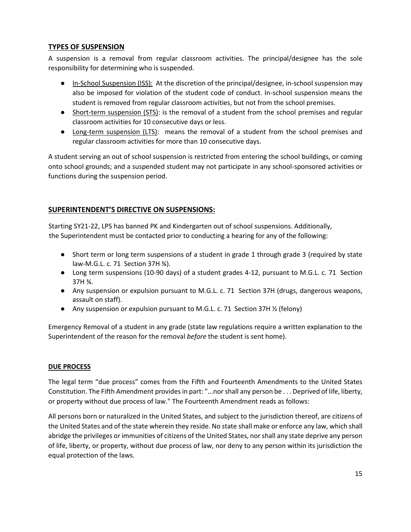# <span id="page-15-0"></span>**TYPES OF SUSPENSION**

A suspension is a removal from regular classroom activities. The principal/designee has the sole responsibility for determining who is suspended.

- In-School Suspension (ISS): At the discretion of the principal/designee, in-school suspension may also be imposed for violation of the student code of conduct. In-school suspension means the student is removed from regular classroom activities, but not from the school premises.
- Short-term suspension (STS): is the removal of a student from the school premises and regular classroom activities for 10 consecutive days or less.
- Long-term suspension (LTS): means the removal of a student from the school premises and regular classroom activities for more than 10 consecutive days.

A student serving an out of school suspension is restricted from entering the school buildings, or coming onto school grounds; and a suspended student may not participate in any school-sponsored activities or functions during the suspension period.

# <span id="page-15-1"></span>**SUPERINTENDENT'S DIRECTIVE ON SUSPENSIONS:**

Starting SY21-22, LPS has banned PK and Kindergarten out of school suspensions. Additionally, the Superintendent must be contacted prior to conducting a hearing for any of the following:

- Short term or long term suspensions of a student in grade 1 through grade 3 (required by state law-M.G.L. c. 71 Section 37H ¾).
- Long term suspensions (10-90 days) of a student grades 4-12, pursuant to M.G.L. c. 71 Section 37H ¾.
- Any suspension or expulsion pursuant to M.G.L. c. 71 Section 37H (drugs, dangerous weapons, assault on staff).
- Any suspension or expulsion pursuant to M.G.L. c. 71 Section 37H  $\frac{1}{2}$  (felony)

Emergency Removal of a student in any grade (state law regulations require a written explanation to the Superintendent of the reason for the removal *before* the student is sent home).

# **DUE PROCESS**

The legal term "due process" comes from the Fifth and Fourteenth Amendments to the United States Constitution. The Fifth Amendment provides in part: "...nor shall any person be . . . Deprived of life, liberty, or property without due process of law." The Fourteenth Amendment reads as follows:

All persons born or naturalized in the United States, and subject to the jurisdiction thereof, are citizens of the United States and of the state wherein they reside. No state shall make or enforce any law, which shall abridge the privileges or immunities of citizens of the United States, nor shall any state deprive any person of life, liberty, or property, without due process of law, nor deny to any person within its jurisdiction the equal protection of the laws.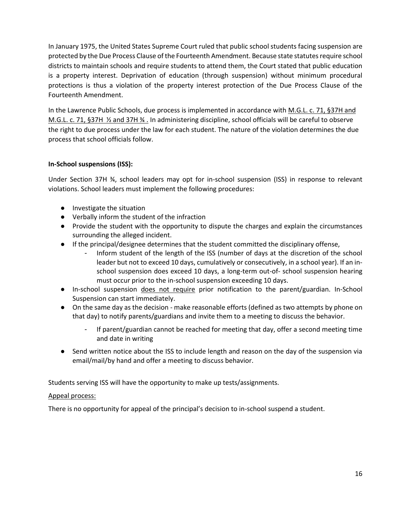In January 1975, the United States Supreme Court ruled that public school students facing suspension are protected by the Due Process Clause of the Fourteenth Amendment. Because state statutes require school districts to maintain schools and require students to attend them, the Court stated that public education is a property interest. Deprivation of education (through suspension) without minimum procedural protections is thus a violation of the property interest protection of the Due Process Clause of the Fourteenth Amendment.

In the Lawrence Public Schools, due process is implemented in accordance with M.G.L. c. 71, §37H and M.G.L. c. 71, §37H ½ and 37H ¾ . In administering discipline, school officials will be careful to observe the right to due process under the law for each student. The nature of the violation determines the due process that school officials follow.

# **In-School suspensions (ISS):**

Under Section 37H ¾, school leaders may opt for in-school suspension (ISS) in response to relevant violations. School leaders must implement the following procedures:

- Investigate the situation
- Verbally inform the student of the infraction
- Provide the student with the opportunity to dispute the charges and explain the circumstances surrounding the alleged incident.
- If the principal/designee determines that the student committed the disciplinary offense,
	- Inform student of the length of the ISS (number of days at the discretion of the school leader but not to exceed 10 days, cumulatively or consecutively, in a school year). If an inschool suspension does exceed 10 days, a long-term out-of- school suspension hearing must occur prior to the in-school suspension exceeding 10 days.
- In-school suspension does not require prior notification to the parent/guardian. In-School Suspension can start immediately.
- On the same day as the decision make reasonable efforts (defined as two attempts by phone on that day) to notify parents/guardians and invite them to a meeting to discuss the behavior.
	- If parent/guardian cannot be reached for meeting that day, offer a second meeting time and date in writing
- Send written notice about the ISS to include length and reason on the day of the suspension via email/mail/by hand and offer a meeting to discuss behavior.

Students serving ISS will have the opportunity to make up tests/assignments.

# Appeal process:

There is no opportunity for appeal of the principal's decision to in-school suspend a student.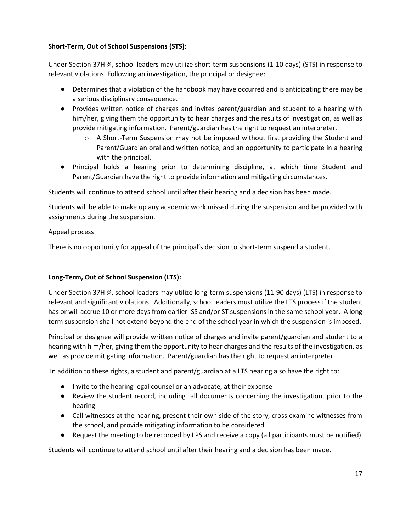# **Short-Term, Out of School Suspensions (STS):**

Under Section 37H ¾, school leaders may utilize short-term suspensions (1-10 days) (STS) in response to relevant violations. Following an investigation, the principal or designee:

- Determines that a violation of the handbook may have occurred and is anticipating there may be a serious disciplinary consequence.
- Provides written notice of charges and invites parent/guardian and student to a hearing with him/her, giving them the opportunity to hear charges and the results of investigation, as well as provide mitigating information. Parent/guardian has the right to request an interpreter.
	- $\circ$  A Short-Term Suspension may not be imposed without first providing the Student and Parent/Guardian oral and written notice, and an opportunity to participate in a hearing with the principal.
- Principal holds a hearing prior to determining discipline, at which time Student and Parent/Guardian have the right to provide information and mitigating circumstances.

Students will continue to attend school until after their hearing and a decision has been made.

Students will be able to make up any academic work missed during the suspension and be provided with assignments during the suspension.

#### Appeal process:

There is no opportunity for appeal of the principal's decision to short-term suspend a student.

# **Long-Term, Out of School Suspension (LTS):**

Under Section 37H ¾, school leaders may utilize long-term suspensions (11-90 days) (LTS) in response to relevant and significant violations. Additionally, school leaders must utilize the LTS process if the student has or will accrue 10 or more days from earlier ISS and/or ST suspensions in the same school year. A long term suspension shall not extend beyond the end of the school year in which the suspension is imposed.

Principal or designee will provide written notice of charges and invite parent/guardian and student to a hearing with him/her, giving them the opportunity to hear charges and the results of the investigation, as well as provide mitigating information. Parent/guardian has the right to request an interpreter.

In addition to these rights, a student and parent/guardian at a LTS hearing also have the right to:

- Invite to the hearing legal counsel or an advocate, at their expense
- Review the student record, including all documents concerning the investigation, prior to the hearing
- Call witnesses at the hearing, present their own side of the story, cross examine witnesses from the school, and provide mitigating information to be considered
- Request the meeting to be recorded by LPS and receive a copy (all participants must be notified)

Students will continue to attend school until after their hearing and a decision has been made.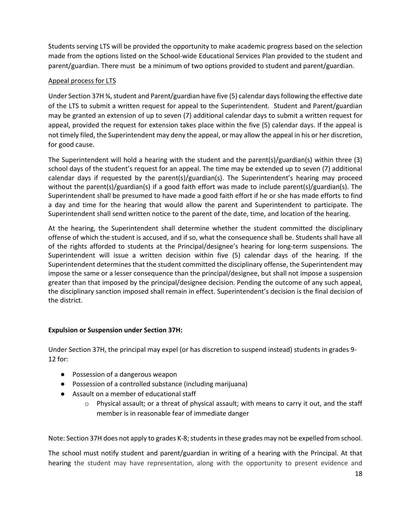Students serving LTS will be provided the opportunity to make academic progress based on the selection made from the options listed on the School-wide Educational Services Plan provided to the student and parent/guardian. There must be a minimum of two options provided to student and parent/guardian.

# Appeal process for LTS

Under Section 37H ¾, student and Parent/guardian have five (5) calendar days following the effective date of the LTS to submit a written request for appeal to the Superintendent. Student and Parent/guardian may be granted an extension of up to seven (7) additional calendar days to submit a written request for appeal, provided the request for extension takes place within the five (5) calendar days. If the appeal is not timely filed, the Superintendent may deny the appeal, or may allow the appeal in his or her discretion, for good cause.

The Superintendent will hold a hearing with the student and the parent(s)/guardian(s) within three (3) school days of the student's request for an appeal. The time may be extended up to seven (7) additional calendar days if requested by the parent(s)/guardian(s). The Superintendent's hearing may proceed without the parent(s)/guardian(s) if a good faith effort was made to include parent(s)/guardian(s). The Superintendent shall be presumed to have made a good faith effort if he or she has made efforts to find a day and time for the hearing that would allow the parent and Superintendent to participate. The Superintendent shall send written notice to the parent of the date, time, and location of the hearing.

At the hearing, the Superintendent shall determine whether the student committed the disciplinary offense of which the student is accused, and if so, what the consequence shall be. Students shall have all of the rights afforded to students at the Principal/designee's hearing for long-term suspensions. The Superintendent will issue a written decision within five (5) calendar days of the hearing. If the Superintendent determines that the student committed the disciplinary offense, the Superintendent may impose the same or a lesser consequence than the principal/designee, but shall not impose a suspension greater than that imposed by the principal/designee decision. Pending the outcome of any such appeal, the disciplinary sanction imposed shall remain in effect. Superintendent's decision is the final decision of the district.

# **Expulsion or Suspension under Section 37H:**

Under Section 37H, the principal may expel (or has discretion to suspend instead) students in grades 9- 12 for:

- Possession of a dangerous weapon
- Possession of a controlled substance (including marijuana)
- Assault on a member of educational staff
	- $\circ$  Physical assault; or a threat of physical assault; with means to carry it out, and the staff member is in reasonable fear of immediate danger

Note: Section 37H does not apply to grades K-8; students in these grades may not be expelled from school.

The school must notify student and parent/guardian in writing of a hearing with the Principal. At that hearing the student may have representation, along with the opportunity to present evidence and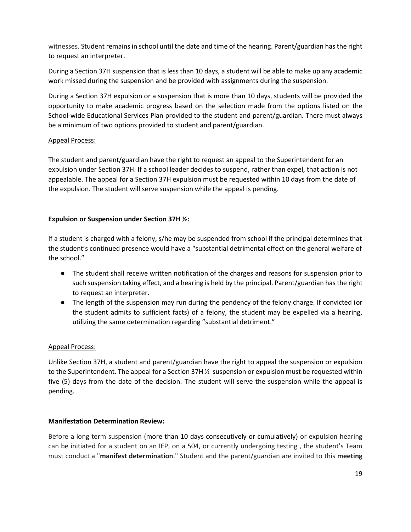witnesses. Student remains in school until the date and time of the hearing. Parent/guardian has the right to request an interpreter.

During a Section 37H suspension that is less than 10 days, a student will be able to make up any academic work missed during the suspension and be provided with assignments during the suspension.

During a Section 37H expulsion or a suspension that is more than 10 days, students will be provided the opportunity to make academic progress based on the selection made from the options listed on the School-wide Educational Services Plan provided to the student and parent/guardian. There must always be a minimum of two options provided to student and parent/guardian.

#### Appeal Process:

The student and parent/guardian have the right to request an appeal to the Superintendent for an expulsion under Section 37H. If a school leader decides to suspend, rather than expel, that action is not appealable. The appeal for a Section 37H expulsion must be requested within 10 days from the date of the expulsion. The student will serve suspension while the appeal is pending.

#### **Expulsion or Suspension under Section 37H ½:**

If a student is charged with a felony, s/he may be suspended from school if the principal determines that the student's continued presence would have a "substantial detrimental effect on the general welfare of the school."

- The student shall receive written notification of the charges and reasons for suspension prior to such suspension taking effect, and a hearing is held by the principal. Parent/guardian has the right to request an interpreter.
- The length of the suspension may run during the pendency of the felony charge. If convicted (or the student admits to sufficient facts) of a felony, the student may be expelled via a hearing, utilizing the same determination regarding "substantial detriment."

#### Appeal Process:

Unlike Section 37H, a student and parent/guardian have the right to appeal the suspension or expulsion to the Superintendent. The appeal for a Section 37H ½ suspension or expulsion must be requested within five (5) days from the date of the decision. The student will serve the suspension while the appeal is pending.

#### **Manifestation Determination Review:**

Before a long term suspension (more than 10 days consecutively or cumulatively) or expulsion hearing can be initiated for a student on an IEP, on a 504, or currently undergoing testing , the student's Team must conduct a "**manifest determination**." Student and the parent/guardian are invited to this **meeting**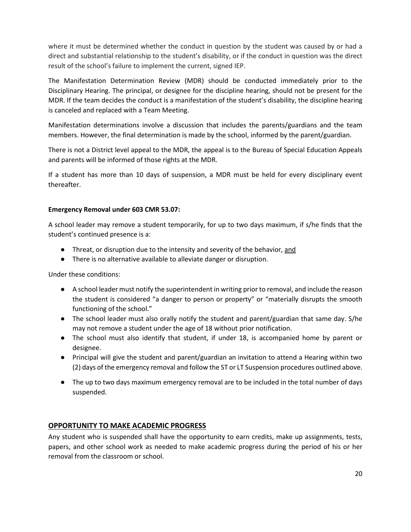where it must be determined whether the conduct in question by the student was caused by or had a direct and substantial relationship to the student's disability, or if the conduct in question was the direct result of the school's failure to implement the current, signed IEP.

The Manifestation Determination Review (MDR) should be conducted immediately prior to the Disciplinary Hearing. The principal, or designee for the discipline hearing, should not be present for the MDR. If the team decides the conduct is a manifestation of the student's disability, the discipline hearing is canceled and replaced with a Team Meeting.

Manifestation determinations involve a discussion that includes the parents/guardians and the team members. However, the final determination is made by the school, informed by the parent/guardian.

There is not a District level appeal to the MDR, the appeal is to the Bureau of Special Education Appeals and parents will be informed of those rights at the MDR.

If a student has more than 10 days of suspension, a MDR must be held for every disciplinary event thereafter.

#### **Emergency Removal under 603 CMR 53.07:**

A school leader may remove a student temporarily, for up to two days maximum, if s/he finds that the student's continued presence is a:

- **•** Threat, or disruption due to the intensity and severity of the behavior, and
- There is no alternative available to alleviate danger or disruption.

Under these conditions:

- A school leader must notify the superintendent in writing prior to removal, and include the reason the student is considered "a danger to person or property" or "materially disrupts the smooth functioning of the school."
- The school leader must also orally notify the student and parent/guardian that same day. S/he may not remove a student under the age of 18 without prior notification.
- The school must also identify that student, if under 18, is accompanied home by parent or designee.
- Principal will give the student and parent/guardian an invitation to attend a Hearing within two (2) days of the emergency removal and follow the ST or LT Suspension procedures outlined above.
- The up to two days maximum emergency removal are to be included in the total number of days suspended.

# <span id="page-20-0"></span>**OPPORTUNITY TO MAKE ACADEMIC PROGRESS**

Any student who is suspended shall have the opportunity to earn credits, make up assignments, tests, papers, and other school work as needed to make academic progress during the period of his or her removal from the classroom or school.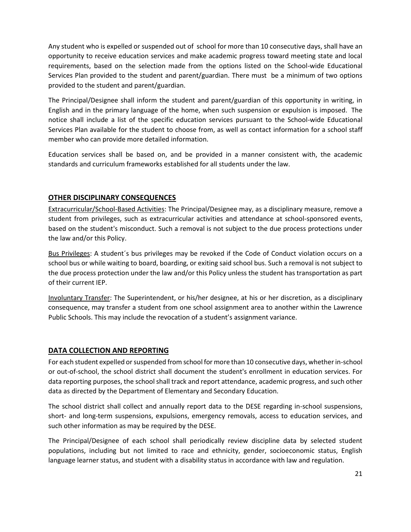Any student who is expelled or suspended out of school for more than 10 consecutive days, shall have an opportunity to receive education services and make academic progress toward meeting state and local requirements, based on the selection made from the options listed on the School-wide Educational Services Plan provided to the student and parent/guardian. There must be a minimum of two options provided to the student and parent/guardian.

The Principal/Designee shall inform the student and parent/guardian of this opportunity in writing, in English and in the primary language of the home, when such suspension or expulsion is imposed. The notice shall include a list of the specific education services pursuant to the School-wide Educational Services Plan available for the student to choose from, as well as contact information for a school staff member who can provide more detailed information.

Education services shall be based on, and be provided in a manner consistent with, the academic standards and curriculum frameworks established for all students under the law.

# <span id="page-21-0"></span>**OTHER DISCIPLINARY CONSEQUENCES**

Extracurricular/School-Based Activities: The Principal/Designee may, as a disciplinary measure, remove a student from privileges, such as extracurricular activities and attendance at school-sponsored events, based on the student's misconduct. Such a removal is not subject to the due process protections under the law and/or this Policy.

Bus Privileges: A student´s bus privileges may be revoked if the Code of Conduct violation occurs on a school bus or while waiting to board, boarding, or exiting said school bus. Such a removal is not subject to the due process protection under the law and/or this Policy unless the student has transportation as part of their current IEP.

Involuntary Transfer: The Superintendent, or his/her designee, at his or her discretion, as a disciplinary consequence, may transfer a student from one school assignment area to another within the Lawrence Public Schools. This may include the revocation of a student's assignment variance.

# <span id="page-21-1"></span>**DATA COLLECTION AND REPORTING**

For each student expelled or suspended from school for more than 10 consecutive days, whether in-school or out-of-school, the school district shall document the student's enrollment in education services. For data reporting purposes, the school shall track and report attendance, academic progress, and such other data as directed by the Department of Elementary and Secondary Education.

The school district shall collect and annually report data to the DESE regarding in-school suspensions, short- and long-term suspensions, expulsions, emergency removals, access to education services, and such other information as may be required by the DESE.

The Principal/Designee of each school shall periodically review discipline data by selected student populations, including but not limited to race and ethnicity, gender, socioeconomic status, English language learner status, and student with a disability status in accordance with law and regulation.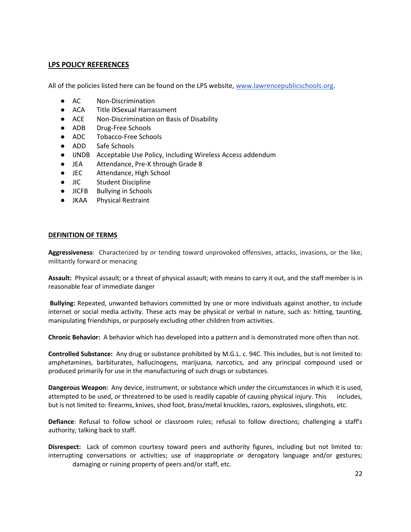#### <span id="page-22-0"></span>**LPS POLICY REFERENCES**

All of the policies listed here can be found on the LPS website[, www.lawrencepublicschools.org.](http://www.lawrencepublicschools.org/)

- AC Non-Discrimination
- ACA Title IXSexual Harrassment
- ACE Non-Discrimination on Basis of Disability
- ADB Drug-Free Schools
- ADC Tobacco-Free Schools
- ADD Safe Schools
- IJNDB Acceptable Use Policy, including Wireless Access addendum
- JEA Attendance, Pre-K through Grade 8
- JEC Attendance, High School
- JIC Student Discipline
- JICFB Bullying in Schools
- JKAA Physical Restraint

#### <span id="page-22-1"></span>**DEFINITION OF TERMS**

**Aggressiveness**: Characterized by or tending toward unprovoked offensives, attacks, invasions, or the like; militantly forward or menacing

**Assault:** Physical assault; or a threat of physical assault; with means to carry it out, and the staff member is in reasonable fear of immediate danger

**Bullying:** Repeated, unwanted behaviors committed by one or more individuals against another, to include internet or social media activity. These acts may be physical or verbal in nature, such as: hitting, taunting, manipulating friendships, or purposely excluding other children from activities.

**Chronic Behavior:** A behavior which has developed into a pattern and is demonstrated more often than not.

**Controlled Substance:** Any drug or substance prohibited by M.G.L. c. 94C. This includes, but is not limited to: amphetamines, barbiturates, hallucinogens, marijuana, narcotics, and any principal compound used or produced primarily for use in the manufacturing of such drugs or substances.

**Dangerous Weapon:** Any device, instrument, or substance which under the circumstances in which it is used, attempted to be used, or threatened to be used is readily capable of causing physical injury. This includes, but is not limited to: firearms, knives, shod foot, brass/metal knuckles, razors, explosives, slingshots, etc.

**Defiance**: Refusal to follow school or classroom rules; refusal to follow directions; challenging a staff's authority; talking back to staff.

**Disrespect:** Lack of common courtesy toward peers and authority figures, including but not limited to: interrupting conversations or activities; use of inappropriate or derogatory language and/or gestures; damaging or ruining property of peers and/or staff, etc.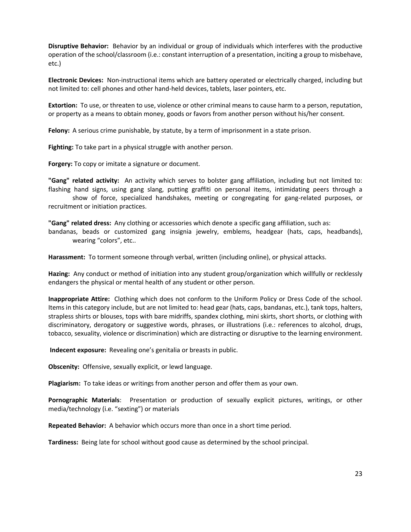**Disruptive Behavior:** Behavior by an individual or group of individuals which interferes with the productive operation of the school/classroom (i.e.: constant interruption of a presentation, inciting a group to misbehave, etc.)

**Electronic Devices:** Non-instructional items which are battery operated or electrically charged, including but not limited to: cell phones and other hand-held devices, tablets, laser pointers, etc.

**Extortion:** To use, or threaten to use, violence or other criminal means to cause harm to a person, reputation, or property as a means to obtain money, goods or favors from another person without his/her consent.

**Felony:** A serious crime punishable, by statute, by a term of imprisonment in a state prison.

**Fighting:** To take part in a physical struggle with another person.

**Forgery:** To copy or imitate a signature or document.

**"Gang" related activity:** An activity which serves to bolster gang affiliation, including but not limited to: flashing hand signs, using gang slang, putting graffiti on personal items, intimidating peers through a show of force, specialized handshakes, meeting or congregating for gang-related purposes, or

recruitment or initiation practices.

**"Gang" related dress:** Any clothing or accessories which denote a specific gang affiliation, such as:

bandanas, beads or customized gang insignia jewelry, emblems, headgear (hats, caps, headbands), wearing "colors", etc..

**Harassment:** To torment someone through verbal, written (including online), or physical attacks.

**Hazing:** Any conduct or method of initiation into any student group/organization which willfully or recklessly endangers the physical or mental health of any student or other person.

**Inappropriate Attire:** Clothing which does not conform to the Uniform Policy or Dress Code of the school. Items in this category include, but are not limited to: head gear (hats, caps, bandanas, etc.), tank tops, halters, strapless shirts or blouses, tops with bare midriffs, spandex clothing, mini skirts, short shorts, or clothing with discriminatory, derogatory or suggestive words, phrases, or illustrations (i.e.: references to alcohol, drugs, tobacco, sexuality, violence or discrimination) which are distracting or disruptive to the learning environment.

**Indecent exposure:** Revealing one's genitalia or breasts in public.

**Obscenity:** Offensive, sexually explicit, or lewd language.

**Plagiarism:** To take ideas or writings from another person and offer them as your own.

**Pornographic Materials**: Presentation or production of sexually explicit pictures, writings, or other media/technology (i.e. "sexting") or materials

**Repeated Behavior:** A behavior which occurs more than once in a short time period.

**Tardiness:** Being late for school without good cause as determined by the school principal.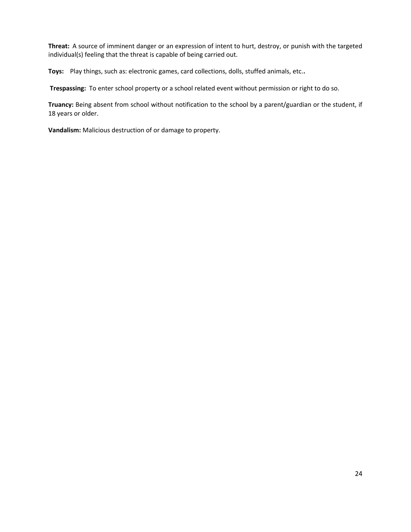**Threat:** A source of imminent danger or an expression of intent to hurt, destroy, or punish with the targeted individual(s) feeling that the threat is capable of being carried out.

**Toys:** Play things, such as: electronic games, card collections, dolls, stuffed animals, etc.**.**

**Trespassing:** To enter school property or a school related event without permission or right to do so.

**Truancy:** Being absent from school without notification to the school by a parent/guardian or the student, if 18 years or older.

**Vandalism:** Malicious destruction of or damage to property.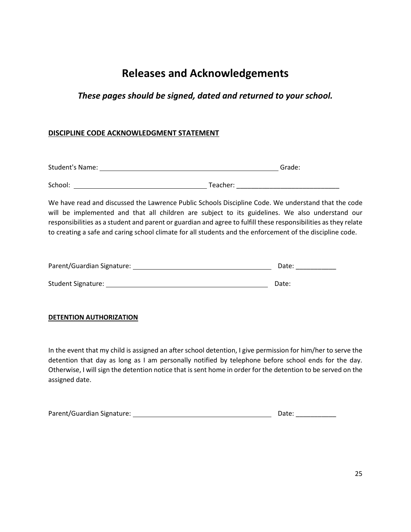# **Releases and Acknowledgements**

# *These pages should be signed, dated and returned to your school.*

# <span id="page-25-0"></span>**DISCIPLINE CODE ACKNOWLEDGMENT STATEMENT**

| <b>Student's Name:</b> | Grade: |
|------------------------|--------|
|                        |        |

School: Teacher: \_\_\_\_\_\_\_\_\_\_\_\_\_\_\_\_\_\_\_\_\_\_\_\_\_\_\_\_

We have read and discussed the Lawrence Public Schools Discipline Code. We understand that the code will be implemented and that all children are subject to its guidelines. We also understand our responsibilities as a student and parent or guardian and agree to fulfill these responsibilities as they relate to creating a safe and caring school climate for all students and the enforcement of the discipline code.

| Parent/Guardian Signature: | Date: |
|----------------------------|-------|
|                            |       |
| <b>Student Signature:</b>  | Date: |

# **DETENTION AUTHORIZATION**

In the event that my child is assigned an after school detention, I give permission for him/her to serve the detention that day as long as I am personally notified by telephone before school ends for the day. Otherwise, I will sign the detention notice that is sent home in order for the detention to be served on the assigned date.

| Parent/Guardian Signature: | Date: |  |
|----------------------------|-------|--|
|                            |       |  |